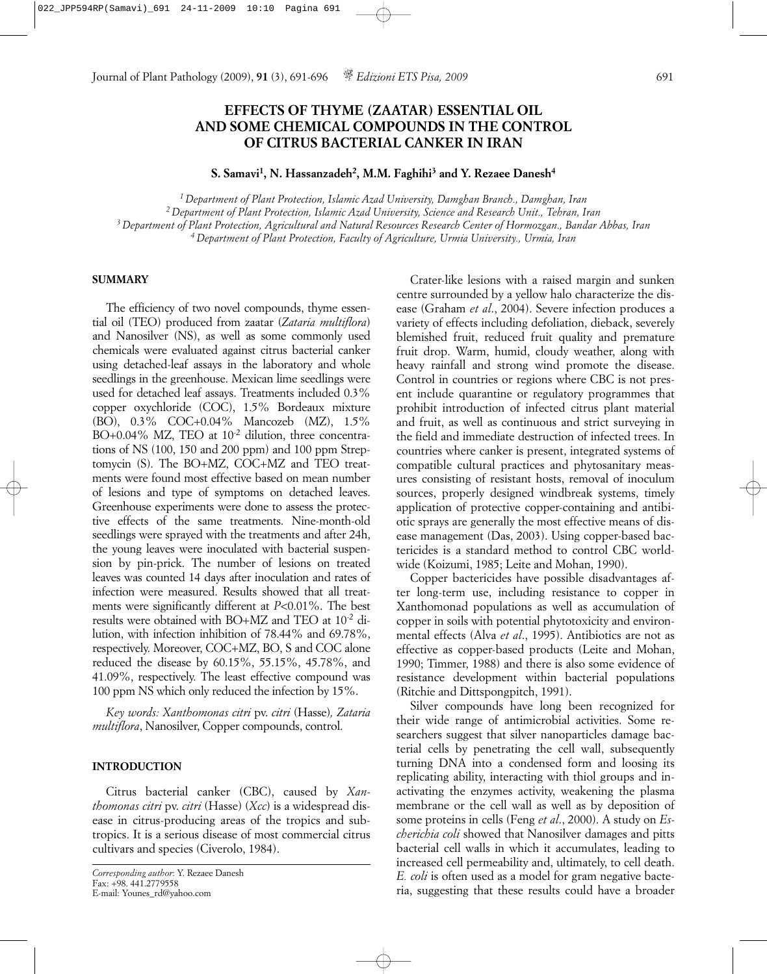# **EFFECTS OF THYME (ZAATAR) ESSENTIAL OIL AND SOME CHEMICAL COMPOUNDS IN THE CONTROL OF CITRUS BACTERIAL CANKER IN IRAN**

**S. Samavi1, N. Hassanzadeh2, M.M. Faghihi3 and Y. Rezaee Danesh4**

*1 Department of Plant Protection, Islamic Azad University, Damghan Branch., Damghan, Iran*

*2 Department of Plant Protection, Islamic Azad University, Science and Research Unit., Tehran, Iran 3 Department of Plant Protection, Agricultural and Natural Resources Research Center of Hormozgan., Bandar Abbas, Iran 4 Department of Plant Protection, Faculty of Agriculture, Urmia University., Urmia, Iran*

#### **SUMMARY**

The efficiency of two novel compounds, thyme essential oil (TEO) produced from zaatar (*Zataria multiflora*) and Nanosilver (NS), as well as some commonly used chemicals were evaluated against citrus bacterial canker using detached-leaf assays in the laboratory and whole seedlings in the greenhouse. Mexican lime seedlings were used for detached leaf assays. Treatments included 0.3% copper oxychloride (COC), 1.5% Bordeaux mixture (BO), 0.3% COC+0.04% Mancozeb (MZ), 1.5% BO+0.04% MZ, TEO at  $10^{-2}$  dilution, three concentrations of NS (100, 150 and 200 ppm) and 100 ppm Streptomycin (S). The BO+MZ, COC+MZ and TEO treatments were found most effective based on mean number of lesions and type of symptoms on detached leaves. Greenhouse experiments were done to assess the protective effects of the same treatments. Nine-month-old seedlings were sprayed with the treatments and after 24h, the young leaves were inoculated with bacterial suspension by pin-prick. The number of lesions on treated leaves was counted 14 days after inoculation and rates of infection were measured. Results showed that all treatments were significantly different at *P*<0.01%. The best results were obtained with BO+MZ and TEO at 10-2 dilution, with infection inhibition of 78.44% and 69.78%, respectively. Moreover, COC+MZ, BO, S and COC alone reduced the disease by 60.15%, 55.15%, 45.78%, and 41.09%, respectively. The least effective compound was 100 ppm NS which only reduced the infection by 15%.

*Key words: Xanthomonas citri* pv. *citri* (Hasse)*, Zataria multiflora*, Nanosilver, Copper compounds, control.

## **INTRODUCTION**

Citrus bacterial canker (CBC), caused by *Xanthomonas citri* pv. *citri* (Hasse) (*Xcc*) is a widespread disease in citrus-producing areas of the tropics and subtropics. It is a serious disease of most commercial citrus cultivars and species (Civerolo, 1984).

Crater-like lesions with a raised margin and sunken centre surrounded by a yellow halo characterize the disease (Graham *et al*., 2004). Severe infection produces a variety of effects including defoliation, dieback, severely blemished fruit, reduced fruit quality and premature fruit drop. Warm, humid, cloudy weather, along with heavy rainfall and strong wind promote the disease. Control in countries or regions where CBC is not present include quarantine or regulatory programmes that prohibit introduction of infected citrus plant material and fruit, as well as continuous and strict surveying in the field and immediate destruction of infected trees. In countries where canker is present, integrated systems of compatible cultural practices and phytosanitary measures consisting of resistant hosts, removal of inoculum sources, properly designed windbreak systems, timely application of protective copper-containing and antibiotic sprays are generally the most effective means of disease management (Das, 2003). Using copper-based bactericides is a standard method to control CBC worldwide (Koizumi, 1985; Leite and Mohan, 1990).

Copper bactericides have possible disadvantages after long-term use, including resistance to copper in Xanthomonad populations as well as accumulation of copper in soils with potential phytotoxicity and environmental effects (Alva *et al*., 1995). Antibiotics are not as effective as copper-based products (Leite and Mohan, 1990; Timmer, 1988) and there is also some evidence of resistance development within bacterial populations (Ritchie and Dittspongpitch, 1991).

Silver compounds have long been recognized for their wide range of antimicrobial activities. Some researchers suggest that silver nanoparticles damage bacterial cells by penetrating the cell wall, subsequently turning DNA into a condensed form and loosing its replicating ability, interacting with thiol groups and inactivating the enzymes activity, weakening the plasma membrane or the cell wall as well as by deposition of some proteins in cells (Feng *et al*., 2000). A study on *Escherichia coli* showed that Nanosilver damages and pitts bacterial cell walls in which it accumulates, leading to increased cell permeability and, ultimately, to cell death. *E. coli* is often used as a model for gram negative bacteria, suggesting that these results could have a broader

*Corresponding author*: Y. Rezaee Danesh Fax: *+*98. 441.2779558 E-mail: Younes\_rd@yahoo.com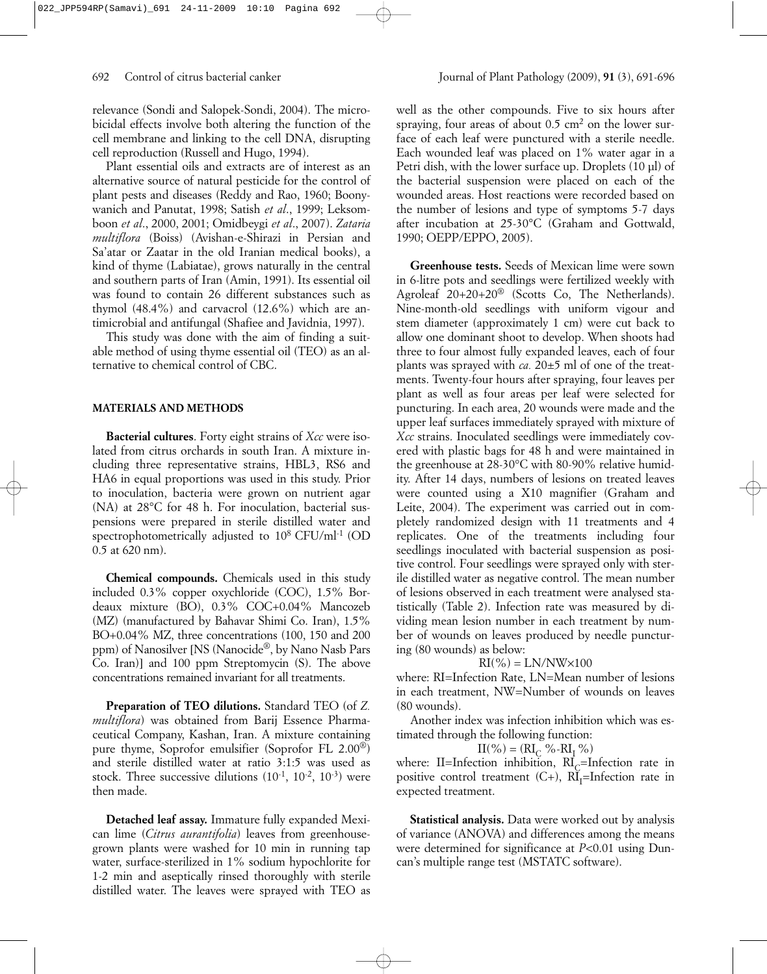relevance (Sondi and Salopek-Sondi, 2004). The microbicidal effects involve both altering the function of the cell membrane and linking to the cell DNA, disrupting cell reproduction (Russell and Hugo, 1994).

Plant essential oils and extracts are of interest as an alternative source of natural pesticide for the control of plant pests and diseases (Reddy and Rao, 1960; Boonywanich and Panutat, 1998; Satish *et al*., 1999; Leksomboon *et al*., 2000, 2001; Omidbeygi *et al*., 2007). *Zataria multiflora* (Boiss) (Avishan-e-Shirazi in Persian and Sa'atar or Zaatar in the old Iranian medical books), a kind of thyme (Labiatae), grows naturally in the central and southern parts of Iran (Amin, 1991). Its essential oil was found to contain 26 different substances such as thymol (48.4%) and carvacrol (12.6%) which are antimicrobial and antifungal (Shafiee and Javidnia, 1997).

This study was done with the aim of finding a suitable method of using thyme essential oil (TEO) as an alternative to chemical control of CBC.

## **MATERIALS AND METHODS**

**Bacterial cultures**. Forty eight strains of *Xcc* were isolated from citrus orchards in south Iran. A mixture including three representative strains, HBL3, RS6 and HA6 in equal proportions was used in this study. Prior to inoculation, bacteria were grown on nutrient agar (NA) at 28°C for 48 h. For inoculation, bacterial suspensions were prepared in sterile distilled water and spectrophotometrically adjusted to 10<sup>8</sup> CFU/ml<sup>-1</sup> (OD 0.5 at 620 nm).

**Chemical compounds.** Chemicals used in this study included 0.3% copper oxychloride (COC), 1.5% Bordeaux mixture (BO), 0.3% COC+0.04% Mancozeb (MZ) (manufactured by Bahavar Shimi Co. Iran), 1.5% BO+0.04% MZ, three concentrations (100, 150 and 200 ppm) of Nanosilver [NS (Nanocide®, by Nano Nasb Pars Co. Iran)] and 100 ppm Streptomycin (S). The above concentrations remained invariant for all treatments.

**Preparation of TEO dilutions.** Standard TEO (of *Z. multiflora*) was obtained from Barij Essence Pharmaceutical Company, Kashan, Iran. A mixture containing pure thyme, Soprofor emulsifier (Soprofor FL 2.00®) and sterile distilled water at ratio 3:1:5 was used as stock. Three successive dilutions  $(10^{-1}, 10^{-2}, 10^{-3})$  were then made.

**Detached leaf assay.** Immature fully expanded Mexican lime (*Citrus aurantifolia*) leaves from greenhousegrown plants were washed for 10 min in running tap water, surface-sterilized in 1% sodium hypochlorite for 1-2 min and aseptically rinsed thoroughly with sterile distilled water. The leaves were sprayed with TEO as

well as the other compounds. Five to six hours after spraying, four areas of about  $0.5 \text{ cm}^2$  on the lower surface of each leaf were punctured with a sterile needle. Each wounded leaf was placed on 1% water agar in a Petri dish, with the lower surface up. Droplets (10 µl) of the bacterial suspension were placed on each of the wounded areas. Host reactions were recorded based on the number of lesions and type of symptoms 5-7 days after incubation at 25-30°C (Graham and Gottwald, 1990; OEPP/EPPO, 2005).

**Greenhouse tests.** Seeds of Mexican lime were sown in 6-litre pots and seedlings were fertilized weekly with Agroleaf 20+20+20® (Scotts Co, The Netherlands). Nine-month-old seedlings with uniform vigour and stem diameter (approximately 1 cm) were cut back to allow one dominant shoot to develop. When shoots had three to four almost fully expanded leaves, each of four plants was sprayed with *ca.* 20±5 ml of one of the treatments. Twenty-four hours after spraying, four leaves per plant as well as four areas per leaf were selected for puncturing. In each area, 20 wounds were made and the upper leaf surfaces immediately sprayed with mixture of *Xcc* strains. Inoculated seedlings were immediately covered with plastic bags for 48 h and were maintained in the greenhouse at 28-30°C with 80-90% relative humidity. After 14 days, numbers of lesions on treated leaves were counted using a X10 magnifier (Graham and Leite, 2004). The experiment was carried out in completely randomized design with 11 treatments and 4 replicates. One of the treatments including four seedlings inoculated with bacterial suspension as positive control. Four seedlings were sprayed only with sterile distilled water as negative control. The mean number of lesions observed in each treatment were analysed statistically (Table 2). Infection rate was measured by dividing mean lesion number in each treatment by number of wounds on leaves produced by needle puncturing (80 wounds) as below:

#### $RI(\%) = LN/NW \times 100$

where: RI=Infection Rate, LN=Mean number of lesions in each treatment, NW=Number of wounds on leaves (80 wounds).

Another index was infection inhibition which was estimated through the following function:

 $II(\%) = (RI_C % - RI_T % -I)(I(T))$ 

where: II=Infection inhibition,  $\text{RI}_{\text{C}}$ =Infection rate in positive control treatment  $(C+)$ ,  $RI_I$ =Infection rate in expected treatment.

**Statistical analysis.** Data were worked out by analysis of variance (ANOVA) and differences among the means were determined for significance at *P*<0.01 using Duncan's multiple range test (MSTATC software).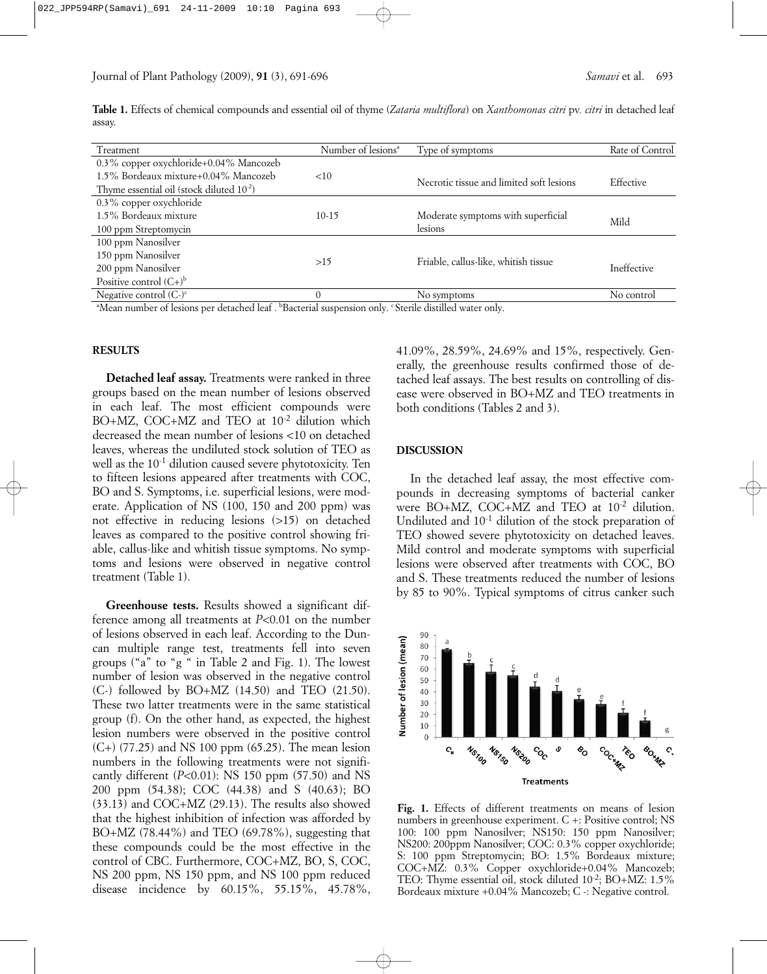**Table 1.** Effects of chemical compounds and essential oil of thyme (*Zataria multiflora*) on *Xanthomonas citri* pv*. citri* in detached leaf assay.

| Treatment                                             | Number of lesions <sup>a</sup> | Type of symptoms                         | Rate of Control    |
|-------------------------------------------------------|--------------------------------|------------------------------------------|--------------------|
| 0.3% copper oxychloride+0.04% Mancozeb                |                                |                                          |                    |
| 1.5% Bordeaux mixture+0.04% Mancozeb                  | <10                            | Necrotic tissue and limited soft lesions | Effective          |
| Thyme essential oil (stock diluted 10 <sup>-2</sup> ) |                                |                                          |                    |
| 0.3% copper oxychloride                               |                                |                                          |                    |
| 1.5% Bordeaux mixture                                 | $10-15$                        | Moderate symptoms with superficial       | Mild               |
| 100 ppm Streptomycin                                  |                                | lesions                                  |                    |
| 100 ppm Nanosilver                                    |                                |                                          |                    |
| 150 ppm Nanosilver                                    | >15                            | Friable, callus-like, whitish tissue     |                    |
| 200 ppm Nanosilver                                    |                                |                                          | <b>Ineffective</b> |
| Positive control $(C+)^b$                             |                                |                                          |                    |
| Negative control $(Cc)c$                              |                                | No symptoms                              | No control         |
| $\sim$ $\sim$ $\sim$                                  |                                |                                          |                    |

Mean number of lesions per detached leaf . <sup>b</sup>Bacterial suspension only. 'Sterile distilled water only. "

### **RESULTS**

**Detached leaf assay.** Treatments were ranked in three groups based on the mean number of lesions observed in each leaf. The most efficient compounds were BO+MZ, COC+MZ and TEO at 10<sup>-2</sup> dilution which decreased the mean number of lesions <10 on detached leaves, whereas the undiluted stock solution of TEO as well as the 10-1 dilution caused severe phytotoxicity. Ten to fifteen lesions appeared after treatments with COC, BO and S. Symptoms, i.e. superficial lesions, were moderate. Application of NS (100, 150 and 200 ppm) was not effective in reducing lesions (>15) on detached leaves as compared to the positive control showing friable, callus-like and whitish tissue symptoms. No symptoms and lesions were observed in negative control treatment (Table 1).

**Greenhouse tests.** Results showed a significant difference among all treatments at *P*<0.01 on the number of lesions observed in each leaf. According to the Duncan multiple range test, treatments fell into seven groups ("a" to "g " in Table 2 and Fig. 1). The lowest number of lesion was observed in the negative control (C-) followed by BO+MZ (14.50) and TEO (21.50). These two latter treatments were in the same statistical group (f). On the other hand, as expected, the highest lesion numbers were observed in the positive control (C+) (77.25) and NS 100 ppm (65.25). The mean lesion numbers in the following treatments were not significantly different (*P*<0.01): NS 150 ppm (57.50) and NS 200 ppm (54.38); COC (44.38) and S (40.63); BO (33.13) and COC+MZ (29.13). The results also showed that the highest inhibition of infection was afforded by BO+MZ (78.44%) and TEO (69.78%), suggesting that these compounds could be the most effective in the control of CBC. Furthermore, COC+MZ, BO, S, COC, NS 200 ppm, NS 150 ppm, and NS 100 ppm reduced disease incidence by 60.15%, 55.15%, 45.78%,

41.09%, 28.59%, 24.69% and 15%, respectively. Generally, the greenhouse results confirmed those of detached leaf assays. The best results on controlling of disease were observed in BO+MZ and TEO treatments in both conditions (Tables 2 and 3).

#### **DISCUSSION**

In the detached leaf assay, the most effective compounds in decreasing symptoms of bacterial canker were BO+MZ, COC+MZ and TEO at  $10^{-2}$  dilution. Undiluted and 10-1 dilution of the stock preparation of TEO showed severe phytotoxicity on detached leaves. Mild control and moderate symptoms with superficial lesions were observed after treatments with COC, BO and S. These treatments reduced the number of lesions by 85 to 90%. Typical symptoms of citrus canker such



**Fig. 1.** Effects of different treatments on means of lesion numbers in greenhouse experiment. C +: Positive control; NS 100: 100 ppm Nanosilver; NS150: 150 ppm Nanosilver; NS200: 200ppm Nanosilver; COC: 0.3% copper oxychloride; S: 100 ppm Streptomycin; BO: 1.5% Bordeaux mixture; COC+MZ: 0.3% Copper oxychloride+0.04% Mancozeb; TEO: Thyme essential oil, stock diluted 10<sup>-2</sup>; BO+MZ: 1.5% Bordeaux mixture +0.04% Mancozeb; C -: Negative control.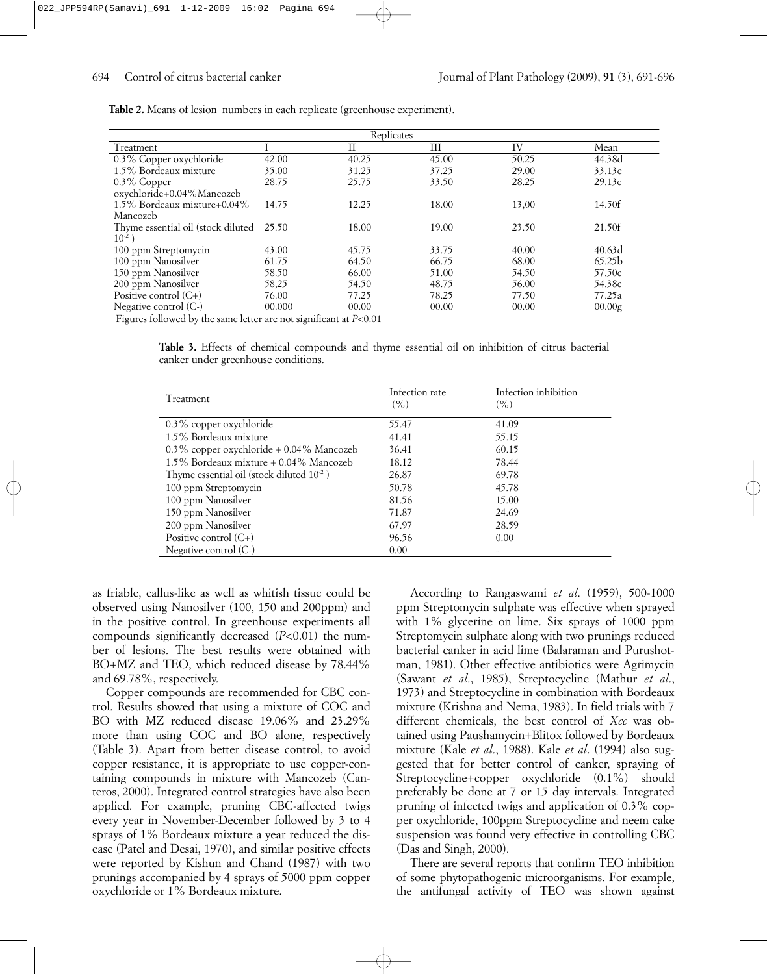**Table 2.** Means of lesion numbers in each replicate (greenhouse experiment).

|                                    |        | Replicates |       |       |                    |
|------------------------------------|--------|------------|-------|-------|--------------------|
| Treatment                          |        | П          | Ш     | IV    | Mean               |
| 0.3% Copper oxychloride            | 42.00  | 40.25      | 45.00 | 50.25 | 44.38d             |
| 1.5% Bordeaux mixture              | 35.00  | 31.25      | 37.25 | 29.00 | 33.13e             |
| $0.3\%$ Copper                     | 28.75  | 25.75      | 33.50 | 28.25 | 29.13e             |
| oxychloride+0.04%Mancozeb          |        |            |       |       |                    |
| 1.5% Bordeaux mixture+0.04%        | 14.75  | 12.25      | 18.00 | 13,00 | 14.50f             |
| Mancozeb                           |        |            |       |       |                    |
| Thyme essential oil (stock diluted | 25.50  | 18.00      | 19.00 | 23.50 | 21.50f             |
| $10^{-2}$ )                        |        |            |       |       |                    |
| 100 ppm Streptomycin               | 43.00  | 45.75      | 33.75 | 40.00 | 40.63d             |
| 100 ppm Nanosilver                 | 61.75  | 64.50      | 66.75 | 68.00 | 65.25 <sub>b</sub> |
| 150 ppm Nanosilver                 | 58.50  | 66.00      | 51.00 | 54.50 | 57.50c             |
| 200 ppm Nanosilver                 | 58,25  | 54.50      | 48.75 | 56.00 | 54.38c             |
| Positive control $(C+)$            | 76.00  | 77.25      | 78.25 | 77.50 | 77.25a             |
| Negative control $(C-)$            | 00.000 | 00.00      | 00.00 | 00.00 | 00.00g             |

Figures followed by the same letter are not significant at *P*<0.01

**Table 3.** Effects of chemical compounds and thyme essential oil on inhibition of citrus bacterial canker under greenhouse conditions.

| Treatment                                   | Infection rate<br>(%) | Infection inhibition<br>(% ) |
|---------------------------------------------|-----------------------|------------------------------|
| 0.3% copper oxychloride                     | 55.47                 | 41.09                        |
| 1.5% Bordeaux mixture                       | 41.41                 | 55.15                        |
| $0.3\%$ copper oxychloride + 0.04% Mancozeb | 36.41                 | 60.15                        |
| $1.5\%$ Bordeaux mixture $+0.04\%$ Mancozeb | 18.12                 | 78.44                        |
| Thyme essential oil (stock diluted $10-2$ ) | 26.87                 | 69.78                        |
| 100 ppm Streptomycin                        | 50.78                 | 45.78                        |
| 100 ppm Nanosilver                          | 81.56                 | 15.00                        |
| 150 ppm Nanosilver                          | 71.87                 | 24.69                        |
| 200 ppm Nanosilver                          | 67.97                 | 28.59                        |
| Positive control $(C+)$                     | 96.56                 | 0.00                         |
| Negative control $(C-)$                     | 0.00                  | -                            |

as friable, callus-like as well as whitish tissue could be observed using Nanosilver (100, 150 and 200ppm) and in the positive control. In greenhouse experiments all compounds significantly decreased (*P*<0.01) the number of lesions. The best results were obtained with BO+MZ and TEO, which reduced disease by 78.44% and 69.78%, respectively.

Copper compounds are recommended for CBC control. Results showed that using a mixture of COC and BO with MZ reduced disease 19.06% and 23.29% more than using COC and BO alone, respectively (Table 3). Apart from better disease control, to avoid copper resistance, it is appropriate to use copper-containing compounds in mixture with Mancozeb (Canteros, 2000). Integrated control strategies have also been applied. For example, pruning CBC-affected twigs every year in November-December followed by 3 to 4 sprays of 1% Bordeaux mixture a year reduced the disease (Patel and Desai, 1970), and similar positive effects were reported by Kishun and Chand (1987) with two prunings accompanied by 4 sprays of 5000 ppm copper oxychloride or 1% Bordeaux mixture.

According to Rangaswami *et al*. (1959), 500-1000 ppm Streptomycin sulphate was effective when sprayed with 1% glycerine on lime. Six sprays of 1000 ppm Streptomycin sulphate along with two prunings reduced bacterial canker in acid lime (Balaraman and Purushotman, 1981). Other effective antibiotics were Agrimycin (Sawant *et al*., 1985), Streptocycline (Mathur *et al*., 1973) and Streptocycline in combination with Bordeaux mixture (Krishna and Nema, 1983). In field trials with 7 different chemicals, the best control of *Xcc* was obtained using Paushamycin+Blitox followed by Bordeaux mixture (Kale *et al*., 1988). Kale *et al*. (1994) also suggested that for better control of canker, spraying of Streptocycline+copper oxychloride (0.1%) should preferably be done at 7 or 15 day intervals. Integrated pruning of infected twigs and application of 0.3% copper oxychloride, 100ppm Streptocycline and neem cake suspension was found very effective in controlling CBC (Das and Singh, 2000).

There are several reports that confirm TEO inhibition of some phytopathogenic microorganisms. For example, the antifungal activity of TEO was shown against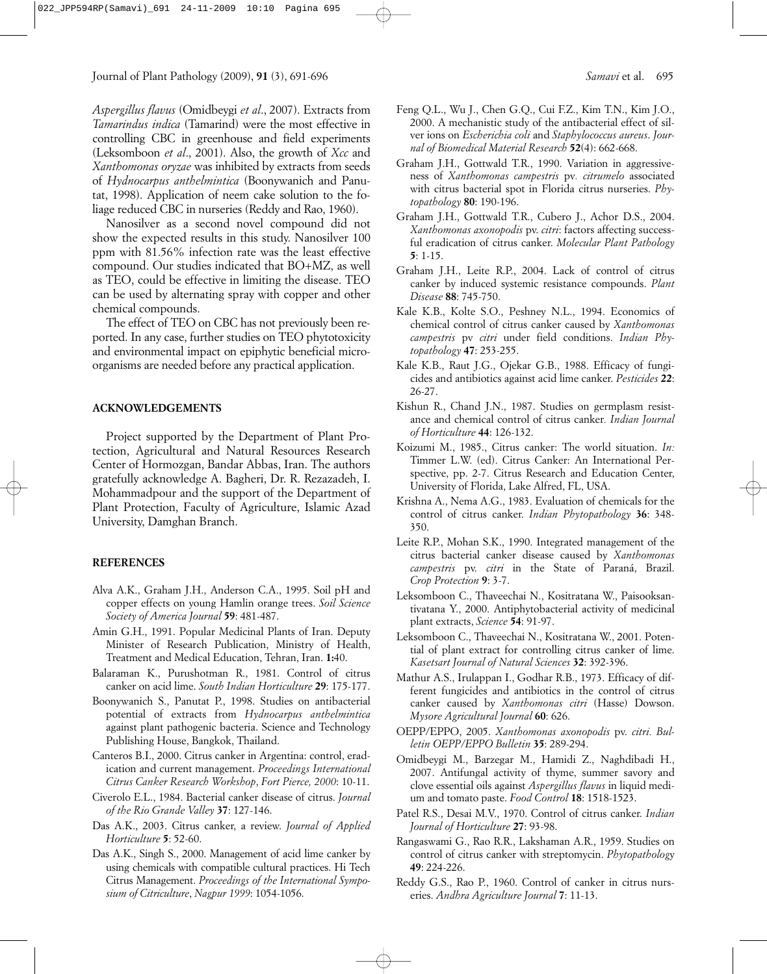*Aspergillus flavus* (Omidbeygi *et al*., 2007). Extracts from *Tamarindus indica* (Tamarind) were the most effective in controlling CBC in greenhouse and field experiments (Leksomboon *et al*., 2001). Also, the growth of *Xcc* and *Xanthomonas oryzae* was inhibited by extracts from seeds of *Hydnocarpus anthelmintica* (Boonywanich and Panutat, 1998). Application of neem cake solution to the foliage reduced CBC in nurseries (Reddy and Rao, 1960).

Nanosilver as a second novel compound did not show the expected results in this study. Nanosilver 100 ppm with 81.56% infection rate was the least effective compound. Our studies indicated that BO+MZ, as well as TEO, could be effective in limiting the disease. TEO can be used by alternating spray with copper and other chemical compounds.

The effect of TEO on CBC has not previously been reported. In any case, further studies on TEO phytotoxicity and environmental impact on epiphytic beneficial microorganisms are needed before any practical application.

## **ACKNOWLEDGEMENTS**

Project supported by the Department of Plant Protection, Agricultural and Natural Resources Research Center of Hormozgan, Bandar Abbas, Iran. The authors gratefully acknowledge A. Bagheri, Dr. R. Rezazadeh, I. Mohammadpour and the support of the Department of Plant Protection, Faculty of Agriculture, Islamic Azad University, Damghan Branch.

#### **REFERENCES**

- Alva A.K., Graham J.H., Anderson C.A., 1995. Soil pH and copper effects on young Hamlin orange trees. *Soil Science Society of America Journal* **59**: 481-487.
- Amin G.H., 1991. Popular Medicinal Plants of Iran. Deputy Minister of Research Publication, Ministry of Health, Treatment and Medical Education, Tehran, Iran. **1:**40.
- Balaraman K., Purushotman R., 1981. Control of citrus canker on acid lime. *South Indian Horticulture* **29**: 175-177.
- Boonywanich S., Panutat P., 1998. Studies on antibacterial potential of extracts from *Hydnocarpus anthelmintica* against plant pathogenic bacteria. Science and Technology Publishing House, Bangkok, Thailand.
- Canteros B.I., 2000. Citrus canker in Argentina: control, eradication and current management. *Proceedings International Citrus Canker Research Workshop*, *Fort Pierce, 2000*: 10-11.
- Civerolo E.L., 1984. Bacterial canker disease of citrus. *Journal of the Rio Grande Valley* **37**: 127-146.
- Das A.K., 2003. Citrus canker, a review. *Journal of Applied Horticulture* **5**: 52-60.
- Das A.K., Singh S., 2000. Management of acid lime canker by using chemicals with compatible cultural practices. Hi Tech Citrus Management. *Proceedings of the International Symposium of Citriculture*, *Nagpur 1999*: 1054-1056.
- Feng Q.L., Wu J., Chen G.Q., Cui F.Z., Kim T.N., Kim J.O., 2000. A mechanistic study of the antibacterial effect of silver ions on *Escherichia coli* and *Staphylococcus aureus*. *Journal of Biomedical Material Research* **52**(4): 662-668.
- Graham J.H., Gottwald T.R., 1990. Variation in aggressiveness of *Xanthomonas campestris* pv*. citrumelo* associated with citrus bacterial spot in Florida citrus nurseries. *Phytopathology* **80**: 190-196.
- Graham J.H., Gottwald T.R., Cubero J., Achor D.S., 2004. *Xanthomonas axonopodis* pv. *citri*: factors affecting successful eradication of citrus canker. *Molecular Plant Pathology* **5**: 1-15.
- Graham J.H., Leite R.P., 2004. Lack of control of citrus canker by induced systemic resistance compounds. *Plant Disease* **88**: 745-750.
- Kale K.B., Kolte S.O., Peshney N.L., 1994. Economics of chemical control of citrus canker caused by *Xanthomonas campestris* pv *citri* under field conditions. *Indian Phytopathology* **47**: 253-255.
- Kale K.B., Raut J.G., Ojekar G.B., 1988. Efficacy of fungicides and antibiotics against acid lime canker. *Pesticides* **22**: 26-27.
- Kishun R., Chand J.N., 1987. Studies on germplasm resistance and chemical control of citrus canker*. Indian Journal of Horticulture* **44**: 126-132.
- Koizumi M., 1985., Citrus canker: The world situation. *In:* Timmer L.W. (ed). Citrus Canker: An International Perspective, pp. 2-7. Citrus Research and Education Center, University of Florida, Lake Alfred, FL, USA.
- Krishna A., Nema A.G., 1983. Evaluation of chemicals for the control of citrus canker. *Indian Phytopathology* **36**: 348- 350.
- Leite R.P., Mohan S.K., 1990. Integrated management of the citrus bacterial canker disease caused by *Xanthomonas campestris* pv. *citri* in the State of Paraná, Brazil. *Crop Protection* **9**: 3-7.
- Leksomboon C., Thaveechai N., Kositratana W., Paisooksantivatana Y., 2000. Antiphytobacterial activity of medicinal plant extracts, *Science* **54**: 91-97.
- Leksomboon C., Thaveechai N., Kositratana W., 2001. Potential of plant extract for controlling citrus canker of lime. *Kasetsart Journal of Natural Sciences* **32**: 392-396.
- Mathur A.S., Irulappan I., Godhar R.B., 1973. Efficacy of different fungicides and antibiotics in the control of citrus canker caused by *Xanthomonas citri* (Hasse) Dowson. *Mysore Agricultural Journal* **60**: 626.
- OEPP/EPPO, 2005. *Xanthomonas axonopodis* pv. *citri. Bulletin OEPP/EPPO Bulletin* **35**: 289-294.
- Omidbeygi M., Barzegar M., Hamidi Z., Naghdibadi H., 2007. Antifungal activity of thyme, summer savory and clove essential oils against *Aspergillus flavus* in liquid medium and tomato paste. *Food Control* **18**: 1518-1523.
- Patel R.S., Desai M.V., 1970. Control of citrus canker. *Indian Journal of Horticulture* **27**: 93-98.
- Rangaswami G., Rao R.R., Lakshaman A.R., 1959. Studies on control of citrus canker with streptomycin. *Phytopatholog*y **49**: 224-226.
- Reddy G.S., Rao P., 1960. Control of canker in citrus nurseries. *Andhra Agriculture Journal* **7**: 11-13.